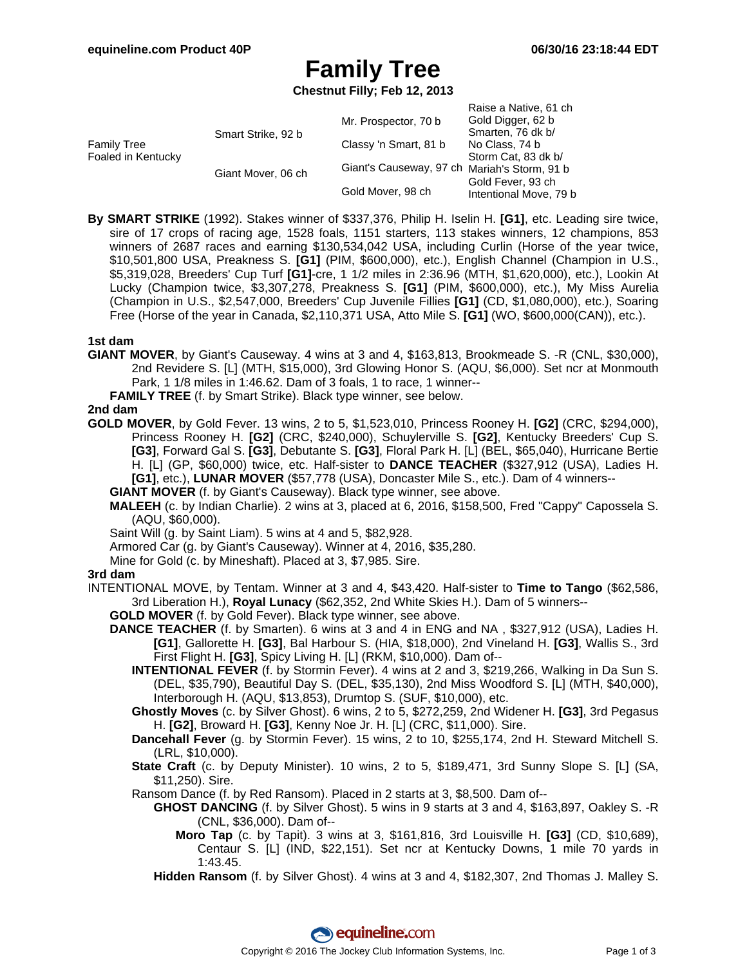# **Family Tree**

**Chestnut Filly; Feb 12, 2013**

| <b>Family Tree</b><br>Foaled in Kentucky | Smart Strike, 92 b | Mr. Prospector, 70 b                         | Raise a Native, 61 ch<br>Gold Digger, 62 b<br>Smarten, 76 dk b/ |
|------------------------------------------|--------------------|----------------------------------------------|-----------------------------------------------------------------|
|                                          |                    | Classy 'n Smart, 81 b                        | No Class, 74 b                                                  |
|                                          |                    |                                              | Storm Cat, 83 dk b/                                             |
|                                          | Giant Mover, 06 ch | Giant's Causeway, 97 ch Mariah's Storm, 91 b |                                                                 |
|                                          |                    |                                              | Gold Fever, 93 ch                                               |
|                                          |                    | Gold Mover, 98 ch                            | Intentional Move, 79 b                                          |

**By SMART STRIKE** (1992). Stakes winner of \$337,376, Philip H. Iselin H. **[G1]**, etc. Leading sire twice, sire of 17 crops of racing age, 1528 foals, 1151 starters, 113 stakes winners, 12 champions, 853 winners of 2687 races and earning \$130,534,042 USA, including Curlin (Horse of the year twice, \$10,501,800 USA, Preakness S. **[G1]** (PIM, \$600,000), etc.), English Channel (Champion in U.S., \$5,319,028, Breeders' Cup Turf **[G1]**-cre, 1 1/2 miles in 2:36.96 (MTH, \$1,620,000), etc.), Lookin At Lucky (Champion twice, \$3,307,278, Preakness S. **[G1]** (PIM, \$600,000), etc.), My Miss Aurelia (Champion in U.S., \$2,547,000, Breeders' Cup Juvenile Fillies **[G1]** (CD, \$1,080,000), etc.), Soaring Free (Horse of the year in Canada, \$2,110,371 USA, Atto Mile S. **[G1]** (WO, \$600,000(CAN)), etc.).

### **1st dam**

**GIANT MOVER**, by Giant's Causeway. 4 wins at 3 and 4, \$163,813, Brookmeade S. -R (CNL, \$30,000), 2nd Revidere S. [L] (MTH, \$15,000), 3rd Glowing Honor S. (AQU, \$6,000). Set ncr at Monmouth Park, 1 1/8 miles in 1:46.62. Dam of 3 foals, 1 to race, 1 winner--

**FAMILY TREE** (f. by Smart Strike). Black type winner, see below.

### **2nd dam**

**GOLD MOVER**, by Gold Fever. 13 wins, 2 to 5, \$1,523,010, Princess Rooney H. **[G2]** (CRC, \$294,000), Princess Rooney H. **[G2]** (CRC, \$240,000), Schuylerville S. **[G2]**, Kentucky Breeders' Cup S. **[G3]**, Forward Gal S. **[G3]**, Debutante S. **[G3]**, Floral Park H. [L] (BEL, \$65,040), Hurricane Bertie H. [L] (GP, \$60,000) twice, etc. Half-sister to **DANCE TEACHER** (\$327,912 (USA), Ladies H. **[G1]**, etc.), **LUNAR MOVER** (\$57,778 (USA), Doncaster Mile S., etc.). Dam of 4 winners--

**GIANT MOVER** (f. by Giant's Causeway). Black type winner, see above.

**MALEEH** (c. by Indian Charlie). 2 wins at 3, placed at 6, 2016, \$158,500, Fred "Cappy" Capossela S. (AQU, \$60,000).

Saint Will (g. by Saint Liam). 5 wins at 4 and 5, \$82,928.

Armored Car (g. by Giant's Causeway). Winner at 4, 2016, \$35,280.

Mine for Gold (c. by Mineshaft). Placed at 3, \$7,985. Sire.

#### **3rd dam**

- INTENTIONAL MOVE, by Tentam. Winner at 3 and 4, \$43,420. Half-sister to **Time to Tango** (\$62,586, 3rd Liberation H.), **Royal Lunacy** (\$62,352, 2nd White Skies H.). Dam of 5 winners--
	- **GOLD MOVER** (f. by Gold Fever). Black type winner, see above.
	- **DANCE TEACHER** (f. by Smarten). 6 wins at 3 and 4 in ENG and NA , \$327,912 (USA), Ladies H. **[G1]**, Gallorette H. **[G3]**, Bal Harbour S. (HIA, \$18,000), 2nd Vineland H. **[G3]**, Wallis S., 3rd First Flight H. **[G3]**, Spicy Living H. [L] (RKM, \$10,000). Dam of--
		- **INTENTIONAL FEVER** (f. by Stormin Fever). 4 wins at 2 and 3, \$219,266, Walking in Da Sun S. (DEL, \$35,790), Beautiful Day S. (DEL, \$35,130), 2nd Miss Woodford S. [L] (MTH, \$40,000), Interborough H. (AQU, \$13,853), Drumtop S. (SUF, \$10,000), etc.
		- **Ghostly Moves** (c. by Silver Ghost). 6 wins, 2 to 5, \$272,259, 2nd Widener H. **[G3]**, 3rd Pegasus H. **[G2]**, Broward H. **[G3]**, Kenny Noe Jr. H. [L] (CRC, \$11,000). Sire.
		- **Dancehall Fever** (g. by Stormin Fever). 15 wins, 2 to 10, \$255,174, 2nd H. Steward Mitchell S. (LRL, \$10,000).
		- **State Craft** (c. by Deputy Minister). 10 wins, 2 to 5, \$189,471, 3rd Sunny Slope S. [L] (SA, \$11,250). Sire.
		- Ransom Dance (f. by Red Ransom). Placed in 2 starts at 3, \$8,500. Dam of--
			- **GHOST DANCING** (f. by Silver Ghost). 5 wins in 9 starts at 3 and 4, \$163,897, Oakley S. -R (CNL, \$36,000). Dam of--
				- **Moro Tap** (c. by Tapit). 3 wins at 3, \$161,816, 3rd Louisville H. **[G3]** (CD, \$10,689), Centaur S. [L] (IND, \$22,151). Set ncr at Kentucky Downs, 1 mile 70 yards in 1:43.45.
			- **Hidden Ransom** (f. by Silver Ghost). 4 wins at 3 and 4, \$182,307, 2nd Thomas J. Malley S.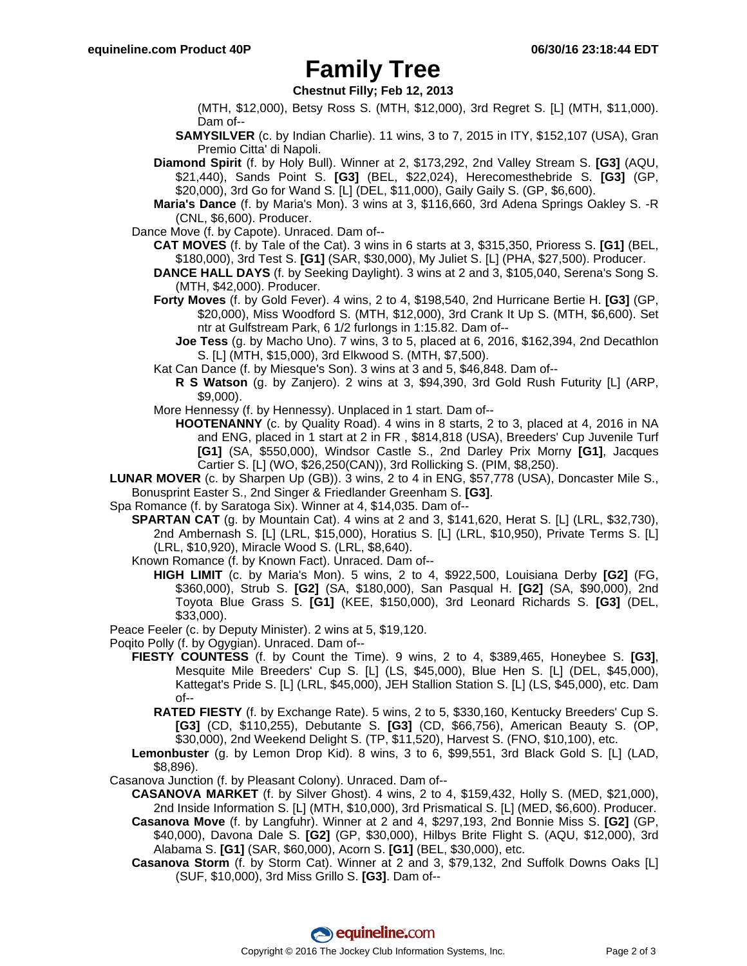## **Family Tree**

**Chestnut Filly; Feb 12, 2013**

- (MTH, \$12,000), Betsy Ross S. (MTH, \$12,000), 3rd Regret S. [L] (MTH, \$11,000). Dam of--
- **SAMYSILVER** (c. by Indian Charlie). 11 wins, 3 to 7, 2015 in ITY, \$152,107 (USA), Gran Premio Citta' di Napoli.
- **Diamond Spirit** (f. by Holy Bull). Winner at 2, \$173,292, 2nd Valley Stream S. **[G3]** (AQU, \$21,440), Sands Point S. **[G3]** (BEL, \$22,024), Herecomesthebride S. **[G3]** (GP, \$20,000), 3rd Go for Wand S. [L] (DEL, \$11,000), Gaily Gaily S. (GP, \$6,600).
- **Maria's Dance** (f. by Maria's Mon). 3 wins at 3, \$116,660, 3rd Adena Springs Oakley S. -R (CNL, \$6,600). Producer.
- Dance Move (f. by Capote). Unraced. Dam of--
	- **CAT MOVES** (f. by Tale of the Cat). 3 wins in 6 starts at 3, \$315,350, Prioress S. **[G1]** (BEL, \$180,000), 3rd Test S. **[G1]** (SAR, \$30,000), My Juliet S. [L] (PHA, \$27,500). Producer.
	- **DANCE HALL DAYS** (f. by Seeking Daylight). 3 wins at 2 and 3, \$105,040, Serena's Song S. (MTH, \$42,000). Producer.
	- **Forty Moves** (f. by Gold Fever). 4 wins, 2 to 4, \$198,540, 2nd Hurricane Bertie H. **[G3]** (GP, \$20,000), Miss Woodford S. (MTH, \$12,000), 3rd Crank It Up S. (MTH, \$6,600). Set ntr at Gulfstream Park, 6 1/2 furlongs in 1:15.82. Dam of--
		- **Joe Tess** (g. by Macho Uno). 7 wins, 3 to 5, placed at 6, 2016, \$162,394, 2nd Decathlon S. [L] (MTH, \$15,000), 3rd Elkwood S. (MTH, \$7,500).
	- Kat Can Dance (f. by Miesque's Son). 3 wins at 3 and 5, \$46,848. Dam of--
		- **R S Watson** (g. by Zanjero). 2 wins at 3, \$94,390, 3rd Gold Rush Futurity [L] (ARP, \$9,000).
	- More Hennessy (f. by Hennessy). Unplaced in 1 start. Dam of--
		- **HOOTENANNY** (c. by Quality Road). 4 wins in 8 starts, 2 to 3, placed at 4, 2016 in NA and ENG, placed in 1 start at 2 in FR , \$814,818 (USA), Breeders' Cup Juvenile Turf **[G1]** (SA, \$550,000), Windsor Castle S., 2nd Darley Prix Morny **[G1]**, Jacques Cartier S. [L] (WO, \$26,250(CAN)), 3rd Rollicking S. (PIM, \$8,250).
- **LUNAR MOVER** (c. by Sharpen Up (GB)). 3 wins, 2 to 4 in ENG, \$57,778 (USA), Doncaster Mile S., Bonusprint Easter S., 2nd Singer & Friedlander Greenham S. **[G3]**.
- Spa Romance (f. by Saratoga Six). Winner at 4, \$14,035. Dam of--
	- **SPARTAN CAT** (g. by Mountain Cat). 4 wins at 2 and 3, \$141,620, Herat S. [L] (LRL, \$32,730), 2nd Ambernash S. [L] (LRL, \$15,000), Horatius S. [L] (LRL, \$10,950), Private Terms S. [L] (LRL, \$10,920), Miracle Wood S. (LRL, \$8,640).
	- Known Romance (f. by Known Fact). Unraced. Dam of--
		- **HIGH LIMIT** (c. by Maria's Mon). 5 wins, 2 to 4, \$922,500, Louisiana Derby **[G2]** (FG, \$360,000), Strub S. **[G2]** (SA, \$180,000), San Pasqual H. **[G2]** (SA, \$90,000), 2nd Toyota Blue Grass S. **[G1]** (KEE, \$150,000), 3rd Leonard Richards S. **[G3]** (DEL, \$33,000).
- Peace Feeler (c. by Deputy Minister). 2 wins at 5, \$19,120.
- Poqito Polly (f. by Ogygian). Unraced. Dam of--
	- **FIESTY COUNTESS** (f. by Count the Time). 9 wins, 2 to 4, \$389,465, Honeybee S. **[G3]**, Mesquite Mile Breeders' Cup S. [L] (LS, \$45,000), Blue Hen S. [L] (DEL, \$45,000), Kattegat's Pride S. [L] (LRL, \$45,000), JEH Stallion Station S. [L] (LS, \$45,000), etc. Dam of--
		- **RATED FIESTY** (f. by Exchange Rate). 5 wins, 2 to 5, \$330,160, Kentucky Breeders' Cup S. **[G3]** (CD, \$110,255), Debutante S. **[G3]** (CD, \$66,756), American Beauty S. (OP, \$30,000), 2nd Weekend Delight S. (TP, \$11,520), Harvest S. (FNO, \$10,100), etc.
	- **Lemonbuster** (g. by Lemon Drop Kid). 8 wins, 3 to 6, \$99,551, 3rd Black Gold S. [L] (LAD, \$8,896).
- Casanova Junction (f. by Pleasant Colony). Unraced. Dam of--
	- **CASANOVA MARKET** (f. by Silver Ghost). 4 wins, 2 to 4, \$159,432, Holly S. (MED, \$21,000), 2nd Inside Information S. [L] (MTH, \$10,000), 3rd Prismatical S. [L] (MED, \$6,600). Producer.
		- **Casanova Move** (f. by Langfuhr). Winner at 2 and 4, \$297,193, 2nd Bonnie Miss S. **[G2]** (GP, \$40,000), Davona Dale S. **[G2]** (GP, \$30,000), Hilbys Brite Flight S. (AQU, \$12,000), 3rd Alabama S. **[G1]** (SAR, \$60,000), Acorn S. **[G1]** (BEL, \$30,000), etc.
		- **Casanova Storm** (f. by Storm Cat). Winner at 2 and 3, \$79,132, 2nd Suffolk Downs Oaks [L] (SUF, \$10,000), 3rd Miss Grillo S. **[G3]**. Dam of--